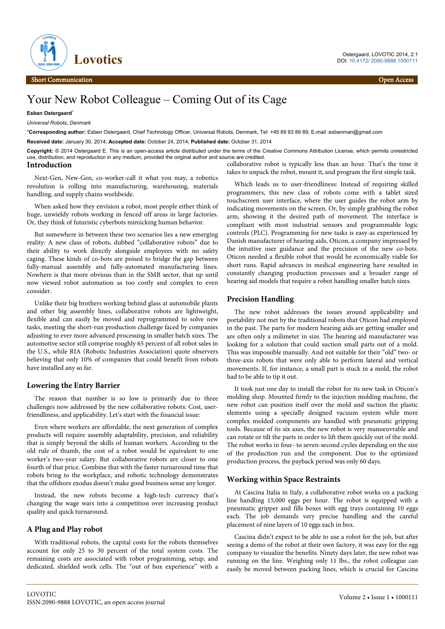

# Your New Robot Colleague – Coming Out of its Cage

**Esben Ostergaard**\*

*Universal Robots, Denmark*

\***Corresponding author:** Esben Ostergaard, Chief Technology Officer, Universal Robots, Denmark, Tel: +45 89 93 89 89; E-mail :esbenman@gmail.com

**Received date:** January 30, 2014; **Accepted date:** October 24, 2014; **Published date:** October 31, 2014

**Copyright:** © 2014 Ostergaard E. This is an open-access article distributed under the terms of the Creative Commons Attribution License, which permits unrestricted use, distribution, and reproduction in any medium, provided the original author and source are credited.

### **Introduction**

Next-Gen, New-Gen, co-worker-call it what you may, a robotics revolution is rolling into manufacturing, warehousing, materials handling, and supply chains worldwide.

When asked how they envision a robot, most people either think of huge, unwieldy robots working in fenced off areas in large factories. Or, they think of futuristic cyberbots mimicking human behavior.

But somewhere in between these two scenarios lies a new emerging reality: A new class of robots, dubbed "collaborative robots" due to their ability to work directly alongside employees with no safety caging. These kinds of co-bots are poised to bridge the gap between fully-manual assembly and fully-automated manufacturing lines. Nowhere is that more obvious than in the SMB sector, that up until now viewed robot automation as too costly and complex to even consider.

Unlike their big brothers working behind glass at automobile plants and other big assembly lines, collaborative robots are lightweight, flexible and can easily be moved and reprogrammed to solve new tasks, meeting the short-run production challenge faced by companies adjusting to ever more advanced processing in smaller batch sizes. The automotive sector still comprise roughly 65 percent of all robot sales in the U.S., while RIA (Robotic Industries Association) quote observers believing that only 10% of companies that could benefit from robots have installed any so far.

# **Lowering the Entry Barrier**

The reason that number is so low is primarily due to three challenges now addressed by the new collaborative robots: Cost, userfriendliness, and applicability. Let's start with the financial issue:

Even where workers are affordable, the next generation of complex products will require assembly adaptability, precision, and reliability that is simply beyond the skills of human workers. According to the old rule of thumb, the cost of a robot would be equivalent to one worker's two-year salary. But collaborative robots are closer to one fourth of that price. Combine that with the faster turnaround time that robots bring to the workplace, and robotic technology demonstrates that the offshore exodus doesn't make good business sense any longer.

Instead, the new robots become a high-tech currency that's changing the wage wars into a competition over increasing product quality and quick turnaround.

# **A Plug and Play robot**

With traditional robots, the capital costs for the robots themselves account for only 25 to 30 percent of the total system costs. The remaining costs are associated with robot programming, setup, and dedicated, shielded work cells. The "out of box experience" with a

collaborative robot is typically less than an hour. That's the time it takes to unpack the robot, mount it, and program the first simple task.

Which leads us to user-friendliness: Instead of requiring skilled programmers, this new class of robots come with a tablet sized touchscreen user interface, where the user guides the robot arm by indicating movements on the screen. Or, by simply grabbing the robot arm, showing it the desired path of movement. The interface is compliant with most industrial sensors and programmable logic controls (PLC). Programming for new tasks is easy-as experienced by Danish manufacturer of hearing aids, Oticon, a company impressed by the intuitive user guidance and the precision of the new co-bots. Oticon needed a flexible robot that would be economically viable for short runs. Rapid advances in medical engineering have resulted in constantly changing production processes and a broader range of hearing aid models that require a robot handling smaller batch sizes.

## **Precision Handling**

The new robot addresses the issues around applicability and portability not met by the traditional robots that Oticon had employed in the past. The parts for modern hearing aids are getting smaller and are often only a milimeter in size. The hearing aid manufacturer was looking for a solution that could suction small parts out of a mold. This was impossible manually. And not suitable for their "old" two- or three-axis robots that were only able to perform lateral and vertical movements. If, for instance, a small part is stuck in a mold, the robot had to be able to tip it out.

It took just one day to install the robot for its new task in Oticon's molding shop. Mounted firmly to the injection molding machine, the new robot can position itself over the mold and suction the plastic elements using a specially designed vacuum system while more complex molded components are handled with pneumatic gripping tools. Because of its six axes, the new robot is very manoeuvrable and can rotate or tilt the parts in order to lift them quickly out of the mold. The robot works in four- to seven-second cycles depending on the size of the production run and the component. Due to the optimized production process, the payback period was only 60 days.

## **Working within Space Restraints**

At Cascina Italia in Italy, a collaborative robot works on a packing line handling 15,000 eggs per hour. The robot is equipped with a pneumatic gripper and fills boxes with egg trays containing 10 eggs each. The job demands very precise handling and the careful placement of nine layers of 10 eggs each in box.

Cascina didn't expect to be able to use a robot for the job, but after seeing a demo of the robot at their own factory, it was easy for the egg company to visualize the benefits. Ninety days later, the new robot was running on the line. Weighing only 11 lbs., the robot colleague can easily be moved between packing lines, which is crucial for Cascina